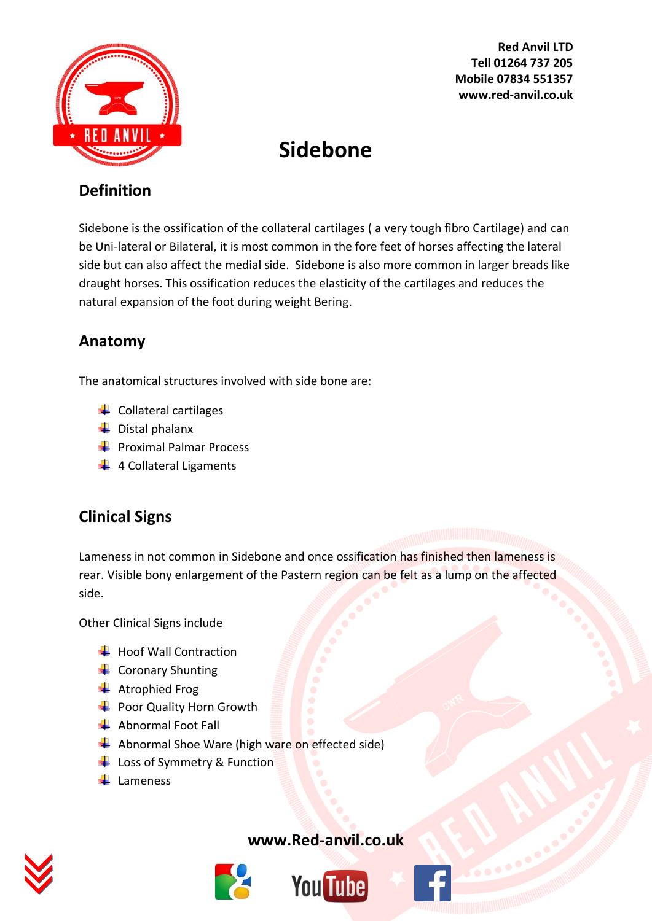

**Red Anvil LTD Tell 01264 737 205 Mobile 07834 551357 www.red-anvil.co.uk**

# **Sidebone**

### **Definition**

Sidebone is the ossification of the collateral cartilages ( a very tough fibro Cartilage) and can be Uni-lateral or Bilateral, it is most common in the fore feet of horses affecting the lateral side but can also affect the medial side. Sidebone is also more common in larger breads like draught horses. This ossification reduces the elasticity of the cartilages and reduces the natural expansion of the foot during weight Bering.

### **Anatomy**

The anatomical structures involved with side bone are:

- $\leftarrow$  Collateral cartilages
- $\biguplus$  Distal phalanx
- $\leftarrow$  Proximal Palmar Process
- $\downarrow$  4 Collateral Ligaments

### **Clinical Signs**

Lameness in not common in Sidebone and once ossification has finished then lameness is rear. Visible bony enlargement of the Pastern region can be felt as a lump on the affected side.

Other Clinical Signs include

- $\bigstar$  Hoof Wall Contraction
- $\leftarrow$  Coronary Shunting
- **←** Atrophied Frog
- Poor Quality Horn Growth
- Abnormal Foot Fall
- $\blacktriangle$  Abnormal Shoe Ware (high ware on effected side)
- Loss of Symmetry & Function
- $\perp$  Lameness



#### **[www.Red-anvil.co.uk](http://www.red-anvil.co.uk/)**



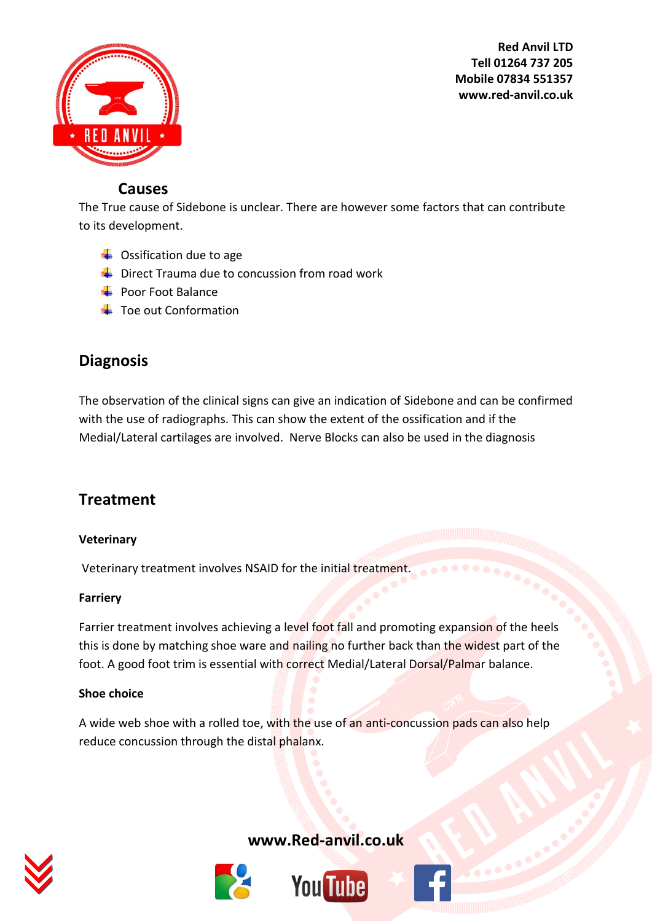

**Red Anvil LTD Tell 01264 737 205 Mobile 07834 551357 www.red-anvil.co.uk**

#### **Causes**

The True cause of Sidebone is unclear. There are however some factors that can contribute to its development.

- $\leftarrow$  Ossification due to age
- $\blacktriangleright$  Direct Trauma due to concussion from road work
- $\leftarrow$  Poor Foot Balance
- $\pm$  Toe out Conformation

### **Diagnosis**

The observation of the clinical signs can give an indication of Sidebone and can be confirmed with the use of radiographs. This can show the extent of the ossification and if the Medial/Lateral cartilages are involved. Nerve Blocks can also be used in the diagnosis

### **Treatment**

#### **Veterinary**

Veterinary treatment involves NSAID for the initial treatment.

#### **Farriery**

Farrier treatment involves achieving a level foot fall and promoting expansion of the heels this is done by matching shoe ware and nailing no further back than the widest part of the foot. A good foot trim is essential with correct Medial/Lateral Dorsal/Palmar balance.

#### **Shoe choice**

A wide web shoe with a rolled toe, with the use of an anti-concussion pads can also help reduce concussion through the distal phalanx.



**[www.Red-anvil.co.uk](http://www.red-anvil.co.uk/)**